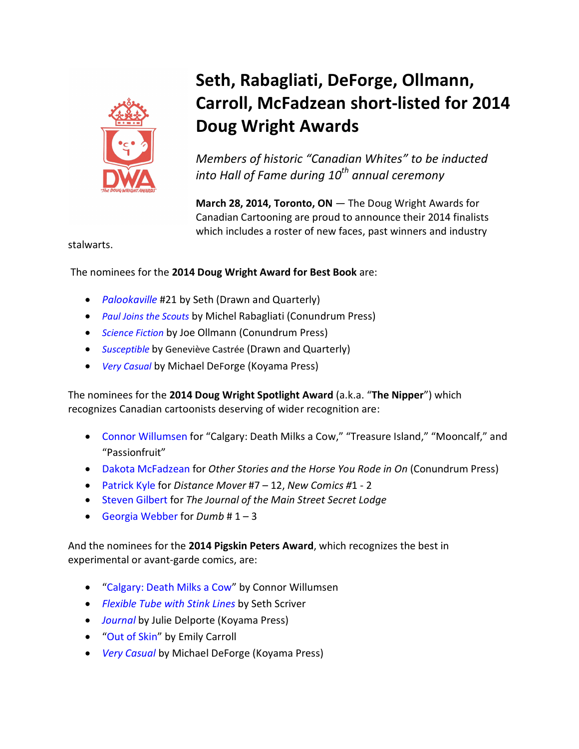

# **Seth, Rabagliati, DeForge, Ollmann, Carroll, McFadzean short-listed for 2014 Doug Wright Awards**

*Members of historic "Canadian Whites" to be inducted into Hall of Fame during 10<sup>th</sup> annual ceremony* 

**March 28, 2014, Toronto, ON** — The Doug Wright Awards for Canadian Cartooning are proud to announce their 2014 finalists which includes a roster of new faces, past winners and industry

stalwarts.

## The nominees for the **2014 Doug Wright Award for Best Book** are:

- · *[Palookaville](http://www.drawnandquarterly.com/shopCatalogLong.php?item=a4f05ffbae17e1)* #21 by Seth (Drawn and Quarterly)
- · *[Paul Joins the Scouts](http://www.conundrumpress.com/bdang/paul-joins-the-scouts/)* by Michel Rabagliati (Conundrum Press)
- · *[Science Fiction](http://www.conundrumpress.com/new-titles/science-fiction/)* by Joe Ollmann (Conundrum Press)
- · *[Susceptible](http://www.drawnandquarterly.com/shopCatalogLong.php?st=art&art=a4ff602c5dde6a)* by Geneviève Castrée (Drawn and Quarterly)
- · *[Very Casual](http://koyamapress.com/projects/very-casual/)* by Michael DeForge (Koyama Press)

The nominees for the **2014 Doug Wright Spotlight Award** (a.k.a. "**The Nipper**") which recognizes Canadian cartoonists deserving of wider recognition are:

- · [Connor Willumsen](http://connorwillumsen.com/) for "Calgary: Death Milks a Cow," "Treasure Island," "Mooncalf," and "Passionfruit"
- · [Dakota McFadzean](http://blog.dakotamcfadzean.com/) for *Other Stories and the Horse You Rode in On* (Conundrum Press)
- · [Patrick Kyle](http://www.patrickkyle.com/) for *Distance Mover* #7 12, *New Comics #*1 2
- · [Steven Gilbert](http://torontocomics.com/exhibitors/Steven-Gilbert/) for *The Journal of the Main Street Secret Lodge*
- · [Georgia Webber](http://georgiasdumbproject.com/) for *Dumb* # 1 3

And the nominees for the **2014 Pigskin Peters Award**, which recognizes the best in experimental or avant-garde comics, are:

- · "[Calgary: Death Milks a Cow](http://studygroupcomics.com/main/calgary-death-milks-a-cow-by-connor-willumsen/)" by Connor Willumsen
- · *Flexible [Tube with Stink Lines](http://www.quimbys.com/store/6398)* by Seth Scriver
- · *[Journal](http://koyamapress.com/projects/journal/)* by Julie Delporte (Koyama Press)
- "[Out of Skin](http://www.emcarroll.com/comics/skin/)" by Emily Carroll
- · *[Very Casual](http://koyamapress.com/projects/very-casual/)* by Michael DeForge (Koyama Press)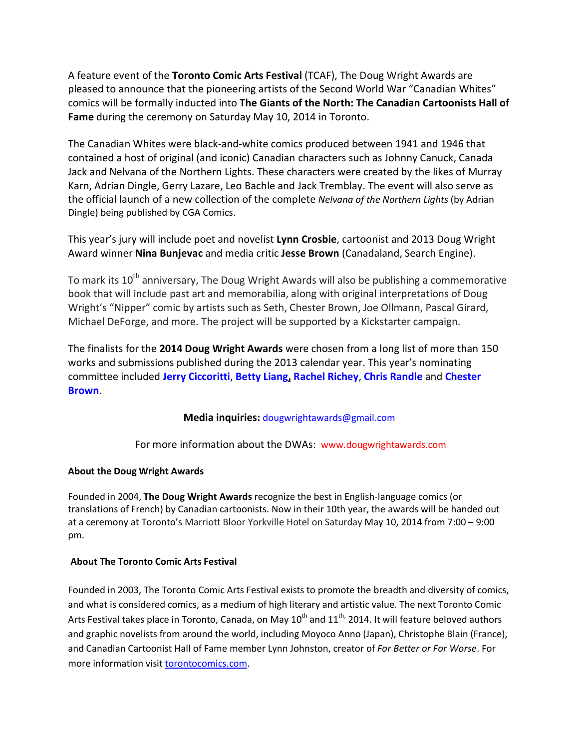A feature event of the **Toronto Comic Arts Festival** (TCAF), The Doug Wright Awards are pleased to announce that the pioneering artists of the Second World War "Canadian Whites" comics will be formally inducted into **The Giants of the North: The Canadian Cartoonists Hall of Fame** during the ceremony on Saturday May 10, 2014 in Toronto.

The Canadian Whites were black-and-white comics produced between 1941 and 1946 that contained a host of original (and iconic) Canadian characters such as Johnny Canuck, Canada Jack and Nelvana of the Northern Lights. These characters were created by the likes of Murray Karn, Adrian Dingle, Gerry Lazare, Leo Bachle and Jack Tremblay. The event will also serve as the official launch of a new collection of the complete *Nelvana of the Northern Lights* (by Adrian Dingle) being published by CGA Comics.

This year's jury will include poet and novelist **Lynn Crosbie**, cartoonist and 2013 Doug Wright Award winner **Nina Bunjevac** and media critic **Jesse Brown** (Canadaland, Search Engine).

To mark its  $10^{th}$  anniversary, The Doug Wright Awards will also be publishing a commemorative book that will include past art and memorabilia, along with original interpretations of Doug Wright's "Nipper" comic by artists such as Seth, Chester Brown, Joe Ollmann, Pascal Girard, Michael DeForge, and more. The project will be supported by a Kickstarter campaign.

The finalists for the **2014 Doug Wright Awards** were chosen from a long list of more than 150 works and submissions published during the 2013 calendar year. This year's nominating committee included **[Jerry Ciccoritti](http://www.thecanadianencyclopedia.com/en/article/jerry-ciccoritti/)**, **[Betty Liang,](http://bettyliang.tumblr.com/) [Rachel Richey](http://speculatingcanada.wordpress.com/2013/09/27/interview-with-hope-nicholson-and-rachel-richey-about-nelvana-of-the-northern-lights/)**, **[Chris Randle](http://backtotheworld.net/)** and **[Chester](http://www.drawnandquarterly.com/artBio.php?artist=a3dff7dd51fc01) Brown**.

## **Media inquiries:** [dougwrightawards@gmail.com](mailto:dougwrightawards@gmail.com)

## For more information about the DWAs: www.dougwrightawards.com

#### **About the Doug Wright Awards**

Founded in 2004, **The Doug Wright Awards** recognize the best in English-language comics (or translations of French) by Canadian cartoonists. Now in their 10th year, the awards will be handed out at a ceremony at Toronto's Marriott Bloor Yorkville Hotel on Saturday May 10, 2014 from 7:00 – 9:00 pm.

#### **About The Toronto Comic Arts Festival**

Founded in 2003, The Toronto Comic Arts Festival exists to promote the breadth and diversity of comics, and what is considered comics, as a medium of high literary and artistic value. The next Toronto Comic Arts Festival takes place in Toronto, Canada, on May  $10^{th}$  and  $11^{th}$ , 2014. It will feature beloved authors and graphic novelists from around the world, including Moyoco Anno (Japan), Christophe Blain (France), and Canadian Cartoonist Hall of Fame member Lynn Johnston, creator of *For Better or For Worse*. For more information visit [torontocomics.com.](http://torontocomics.com/)